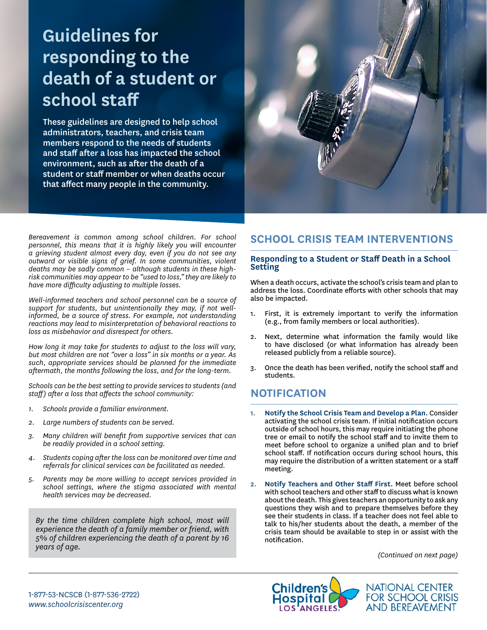# **Guidelines for responding to the death of a student or school staff**

These guidelines are designed to help school administrators, teachers, and crisis team members respond to the needs of students and staff after a loss has impacted the school environment, such as after the death of a student or staff member or when deaths occur that affect many people in the community.



*Bereavement is common among school children. For school personnel, this means that it is highly likely you will encounter a grieving student almost every day, even if you do not see any outward or visible signs of grief. In some communities, violent deaths may be sadly common – although students in these highrisk communities may appear to be "used to loss," they are likely to have more difficulty adjusting to multiple losses.*

*Well-informed teachers and school personnel can be a source of support for students, but unintentionally they may, if not wellinformed, be a source of stress. For example, not understanding reactions may lead to misinterpretation of behavioral reactions to loss as misbehavior and disrespect for others.*

*How long it may take for students to adjust to the loss will vary, but most children are not "over a loss" in six months or a year. As such, appropriate services should be planned for the immediate aftermath, the months following the loss, and for the long-term.*

*Schools can be the best setting to provide services to students (and staff) after a loss that affects the school community:*

- *1. Schools provide a familiar environment.*
- *2. Large numbers of students can be served.*
- *3. Many children will benefit from supportive services that can be readily provided in a school setting.*
- *4. Students coping after the loss can be monitored over time and referrals for clinical services can be facilitated as needed.*
- *5. Parents may be more willing to accept services provided in school settings, where the stigma associated with mental health services may be decreased.*

*By the time children complete high school, most will experience the death of a family member or friend, with 5% of children experiencing the death of a parent by 16 years of age.*

# **SCHOOL CRISIS TEAM INTERVENTIONS**

#### **Responding to a Student or Staff Death in a School Setting**

When a death occurs, activate the school's crisis team and plan to address the loss. Coordinate efforts with other schools that may also be impacted.

- 1. First, it is extremely important to verify the information (e.g., from family members or local authorities).
- 2. Next, determine what information the family would like to have disclosed (or what information has already been released publicly from a reliable source).
- 3. Once the death has been verified, notify the school staff and students.

### **NOTIFICATION**

- 1. **Notify the School Crisis Team and Develop a Plan.** Consider activating the school crisis team. If initial notification occurs outside of school hours, this may require initiating the phone tree or email to notify the school staff and to invite them to meet before school to organize a unified plan and to brief school staff. If notification occurs during school hours, this may require the distribution of a written statement or a staff meeting.
- 2. **Notify Teachers and Other Staff First.** Meet before school with school teachers and other staff to discuss what is known about the death. This gives teachers an opportunity to ask any questions they wish and to prepare themselves before they see their students in class. If a teacher does not feel able to talk to his/her students about the death, a member of the crisis team should be available to step in or assist with the notification.

*(Continued on next page)*

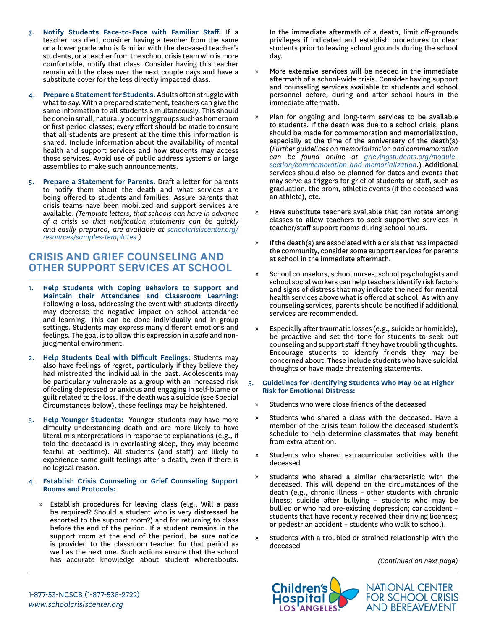- 3. **Notify Students Face-to-Face with Familiar Staff.** If a teacher has died, consider having a teacher from the same or a lower grade who is familiar with the deceased teacher's students, or a teacher from the school crisis team who is more comfortable, notify that class. Consider having this teacher remain with the class over the next couple days and have a substitute cover for the less directly impacted class.
- 4. **Prepare a Statement for Students.** Adults often struggle with what to say. With a prepared statement, teachers can give the same information to all students simultaneously. This should be done in small, naturally occurring groups such as homeroom or first period classes; every effort should be made to ensure that all students are present at the time this information is shared. Include information about the availability of mental health and support services and how students may access those services. Avoid use of public address systems or large assemblies to make such announcements.
- 5. **Prepare a Statement for Parents.** Draft a letter for parents to notify them about the death and what services are being offered to students and families. Assure parents that crisis teams have been mobilized and support services are available. *(Template letters, that schools can have in advance of a crisis so that notification statements can be quickly and easily prepared, are available at [schoolcrisiscenter.org/](http://schoolcrisiscenter.org/resources/samples-templates) [resources/samples-templates](http://schoolcrisiscenter.org/resources/samples-templates).)*

### **CRISIS AND GRIEF COUNSELING AND OTHER SUPPORT SERVICES AT SCHOOL**

- 1. **Help Students with Coping Behaviors to Support and Maintain their Attendance and Classroom Learning:** Following a loss, addressing the event with students directly may decrease the negative impact on school attendance and learning. This can be done individually and in group settings. Students may express many different emotions and feelings. The goal is to allow this expression in a safe and nonjudgmental environment.
- 2. **Help Students Deal with Difficult Feelings:** Students may also have feelings of regret, particularly if they believe they had mistreated the individual in the past. Adolescents may be particularly vulnerable as a group with an increased risk of feeling depressed or anxious and engaging in self-blame or guilt related to the loss. If the death was a suicide (see Special Circumstances below), these feelings may be heightened.
- 3. **Help Younger Students:** Younger students may have more difficulty understanding death and are more likely to have literal misinterpretations in response to explanations (e.g., if told the deceased is in everlasting sleep, they may become fearful at bedtime). All students (and staff) are likely to experience some guilt feelings after a death, even if there is no logical reason.
- 4. **Establish Crisis Counseling or Grief Counseling Support Rooms and Protocols:**
	- » Establish procedures for leaving class (e.g., Will a pass be required? Should a student who is very distressed be escorted to the support room?) and for returning to class before the end of the period. If a student remains in the support room at the end of the period, be sure notice is provided to the classroom teacher for that period as well as the next one. Such actions ensure that the school has accurate knowledge about student whereabouts.

In the immediate aftermath of a death, limit off-grounds privileges if indicated and establish procedures to clear students prior to leaving school grounds during the school day.

- » More extensive services will be needed in the immediate aftermath of a school-wide crisis. Consider having support and counseling services available to students and school personnel before, during and after school hours in the immediate aftermath.
- » Plan for ongoing and long-term services to be available to students. If the death was due to a school crisis, plans should be made for commemoration and memorialization, especially at the time of the anniversary of the death(s) (*Further guidelines on memorialization and commemoration can be found online at [grievingstudents.org/module](http://grievingstudents.org/module-section/commemoration-and-memorialization)[section/commemoration-and-memorialization](http://grievingstudents.org/module-section/commemoration-and-memorialization)*.) Additional services should also be planned for dates and events that may serve as triggers for grief of students or staff, such as graduation, the prom, athletic events (if the deceased was an athlete), etc.
- Have substitute teachers available that can rotate among classes to allow teachers to seek supportive services in teacher/staff support rooms during school hours.
- » If the death(s) are associated with a crisis that has impacted the community, consider some support services for parents at school in the immediate aftermath.
- » School counselors, school nurses, school psychologists and school social workers can help teachers identify risk factors and signs of distress that may indicate the need for mental health services above what is offered at school. As with any counseling services, parents should be notified if additional services are recommended.
- » Especially after traumatic losses (e.g., suicide or homicide), be proactive and set the tone for students to seek out counseling and support staff if they have troubling thoughts. Encourage students to identify friends they may be concerned about. These include students who have suicidal thoughts or have made threatening statements.
- 5. **Guidelines for Identifying Students Who May be at Higher Risk for Emotional Distress:**
	- » Students who were close friends of the deceased
	- » Students who shared a class with the deceased. Have a member of the crisis team follow the deceased student's schedule to help determine classmates that may benefit from extra attention.
	- » Students who shared extracurricular activities with the deceased
	- Students who shared a similar characteristic with the deceased. This will depend on the circumstances of the death (e.g., chronic illness – other students with chronic illness; suicide after bullying – students who may be bullied or who had pre-existing depression; car accident – students that have recently received their driving licenses; or pedestrian accident – students who walk to school).
	- » Students with a troubled or strained relationship with the deceased

*(Continued on next page)*



NATIONAL CENTER **FOR SCHOOL CRISIS AND BEREAVEMENT** 

1-877-53-NCSCB (1-877-536-2722) *[www.schoolcrisiscenter.org](http://www.schoolcrisiscenter.org)*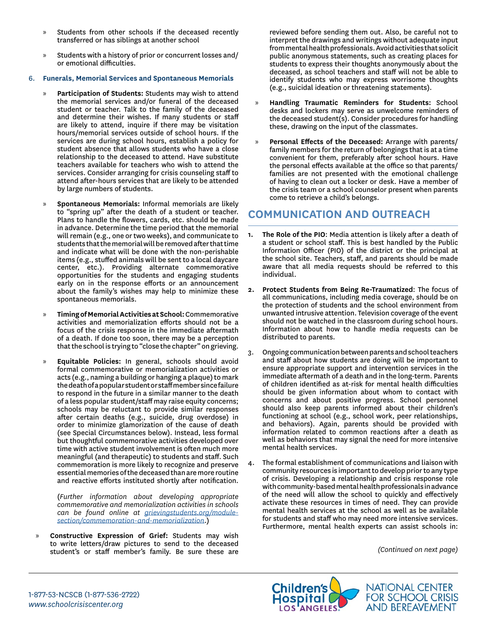- » Students from other schools if the deceased recently transferred or has siblings at another school
- » Students with a history of prior or concurrent losses and/ or emotional difficulties.

#### 6. **Funerals, Memorial Services and Spontaneous Memorials**

- » **Participation of Students:** Students may wish to attend the memorial services and/or funeral of the deceased student or teacher. Talk to the family of the deceased and determine their wishes. If many students or staff are likely to attend, inquire if there may be visitation hours/memorial services outside of school hours. If the services are during school hours, establish a policy for student absence that allows students who have a close relationship to the deceased to attend. Have substitute teachers available for teachers who wish to attend the services. Consider arranging for crisis counseling staff to attend after-hours services that are likely to be attended by large numbers of students.
- » **Spontaneous Memorials:** Informal memorials are likely to "spring up" after the death of a student or teacher. Plans to handle the flowers, cards, etc. should be made in advance. Determine the time period that the memorial will remain (e.g., one or two weeks), and communicate to students that the memorial will be removed after that time and indicate what will be done with the non-perishable items (e.g., stuffed animals will be sent to a local daycare center, etc.). Providing alternate commemorative opportunities for the students and engaging students early on in the response efforts or an announcement about the family's wishes may help to minimize these spontaneous memorials.
- » **Timing of Memorial Activities at School:** Commemorative activities and memorialization efforts should not be a focus of the crisis response in the immediate aftermath of a death. If done too soon, there may be a perception that the school is trying to "close the chapter" on grieving.
- » **Equitable Policies:** In general, schools should avoid formal commemorative or memorialization activities or acts (e.g., naming a building or hanging a plaque) to mark the death of a popular student or staff member since failure to respond in the future in a similar manner to the death of a less popular student/staff may raise equity concerns; schools may be reluctant to provide similar responses after certain deaths (e.g., suicide, drug overdose) in order to minimize glamorization of the cause of death (see Special Circumstances below). Instead, less formal but thoughtful commemorative activities developed over time with active student involvement is often much more meaningful (and therapeutic) to students and staff. Such commemoration is more likely to recognize and preserve essential memories of the deceased than are more routine and reactive efforts instituted shortly after notification.

(*Further information about developing appropriate commemorative and memorialization activities in schools can be found online at [grievingstudents.org/module](http://grievingstudents.org/module-section/commemoration-and-memorialization)[section/commemoration-and-memorialization](http://grievingstudents.org/module-section/commemoration-and-memorialization)*.)

» **Constructive Expression of Grief:** Students may wish to write letters/draw pictures to send to the deceased student's or staff member's family. Be sure these are reviewed before sending them out. Also, be careful not to interpret the drawings and writings without adequate input from mental health professionals. Avoid activities that solicit public anonymous statements, such as creating places for students to express their thoughts anonymously about the deceased, as school teachers and staff will not be able to identify students who may express worrisome thoughts (e.g., suicidal ideation or threatening statements).

- » **Handling Traumatic Reminders for Students:** School desks and lockers may serve as unwelcome reminders of the deceased student(s). Consider procedures for handling these, drawing on the input of the classmates.
- » **Personal Effects of the Deceased:** Arrange with parents/ family members for the return of belongings that is at a time convenient for them, preferably after school hours. Have the personal effects available at the office so that parents/ families are not presented with the emotional challenge of having to clean out a locker or desk. Have a member of the crisis team or a school counselor present when parents come to retrieve a child's belongs.

## **COMMUNICATION AND OUTREACH**

- **1. The Role of the PIO**: Media attention is likely after a death of a student or school staff. This is best handled by the Public Information Officer (PIO) of the district or the principal at the school site. Teachers, staff, and parents should be made aware that all media requests should be referred to this individual.
- **2. Protect Students from Being Re-Traumatized**: The focus of all communications, including media coverage, should be on the protection of students and the school environment from unwanted intrusive attention. Television coverage of the event should not be watched in the classroom during school hours. Information about how to handle media requests can be distributed to parents.
- 3. Ongoing communication between parents and school teachers and staff about how students are doing will be important to ensure appropriate support and intervention services in the immediate aftermath of a death and in the long-term. Parents of children identified as at-risk for mental health difficulties should be given information about whom to contact with concerns and about positive progress. School personnel should also keep parents informed about their children's functioning at school (e.g., school work, peer relationships, and behaviors). Again, parents should be provided with information related to common reactions after a death as well as behaviors that may signal the need for more intensive mental health services.
- The formal establishment of communications and liaison with community resources is important to develop prior to any type of crisis. Developing a relationship and crisis response role with community-based mental health professionals in advance of the need will allow the school to quickly and effectively activate these resources in times of need. They can provide mental health services at the school as well as be available for students and staff who may need more intensive services. Furthermore, mental health experts can assist schools in:

*(Continued on next page)*